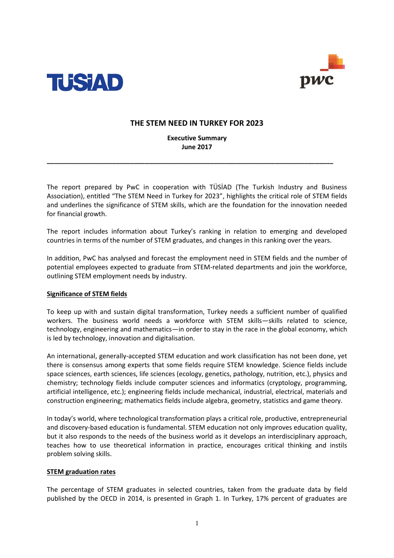



# **THE STEM NEED IN TURKEY FOR 2023**

# **Executive Summary June 2017**

**\_\_\_\_\_\_\_\_\_\_\_\_\_\_\_\_\_\_\_\_\_\_\_\_\_\_\_\_\_\_\_\_\_\_\_\_\_\_\_\_\_\_\_\_\_\_\_\_\_\_\_\_\_\_\_\_\_\_\_\_\_\_\_\_\_\_\_\_\_\_\_\_\_\_\_\_\_\_\_**

The report prepared by PwC in cooperation with TÜSİAD (The Turkish Industry and Business Association), entitled "The STEM Need in Turkey for 2023", highlights the critical role of STEM fields and underlines the significance of STEM skills, which are the foundation for the innovation needed for financial growth.

The report includes information about Turkey's ranking in relation to emerging and developed countries in terms of the number of STEM graduates, and changes in this ranking over the years.

In addition, PwC has analysed and forecast the employment need in STEM fields and the number of potential employees expected to graduate from STEM-related departments and join the workforce, outlining STEM employment needs by industry.

## **Significance of STEM fields**

To keep up with and sustain digital transformation, Turkey needs a sufficient number of qualified workers. The business world needs a workforce with STEM skills—skills related to science, technology, engineering and mathematics—in order to stay in the race in the global economy, which is led by technology, innovation and digitalisation.

An international, generally-accepted STEM education and work classification has not been done, yet there is consensus among experts that some fields require STEM knowledge. Science fields include space sciences, earth sciences, life sciences (ecology, genetics, pathology, nutrition, etc.), physics and chemistry; technology fields include computer sciences and informatics (cryptology, programming, artificial intelligence, etc.); engineering fields include mechanical, industrial, electrical, materials and construction engineering; mathematics fields include algebra, geometry, statistics and game theory.

In today's world, where technological transformation plays a critical role, productive, entrepreneurial and discovery-based education is fundamental. STEM education not only improves education quality, but it also responds to the needs of the business world as it develops an interdisciplinary approach, teaches how to use theoretical information in practice, encourages critical thinking and instils problem solving skills.

## **STEM graduation rates**

The percentage of STEM graduates in selected countries, taken from the graduate data by field published by the OECD in 2014, is presented in Graph 1. In Turkey, 17% percent of graduates are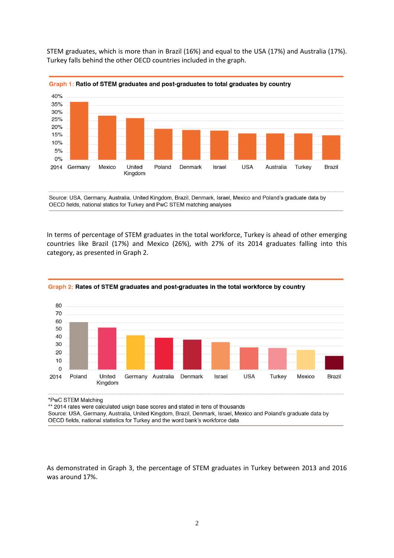STEM graduates, which is more than in Brazil (16%) and equal to the USA (17%) and Australia (17%). Turkey falls behind the other OECD countries included in the graph.





Source: USA, Germany, Australia, United Kingdom, Brazil, Denmark, Israel, Mexico and Poland's graduate data by OECD fields, national statics for Turkey and PwC STEM matching analyses

In terms of percentage of STEM graduates in the total workforce, Turkey is ahead of other emerging countries like Brazil (17%) and Mexico (26%), with 27% of its 2014 graduates falling into this category, as presented in Graph 2.



#### Graph 2: Rates of STEM graduates and post-graduates in the total workforce by country

\*PwC STEM Matching

\*\* 2014 rates were calculated usign base scores and stated in tens of thousands

Source: USA, Germany, Australia, United Kingdom, Brazil, Denmark, Israel, Mexico and Poland's graduate data by OECD fields, national statistics for Turkey and the word bank's workforce data

As demonstrated in Graph 3, the percentage of STEM graduates in Turkey between 2013 and 2016 was around 17%.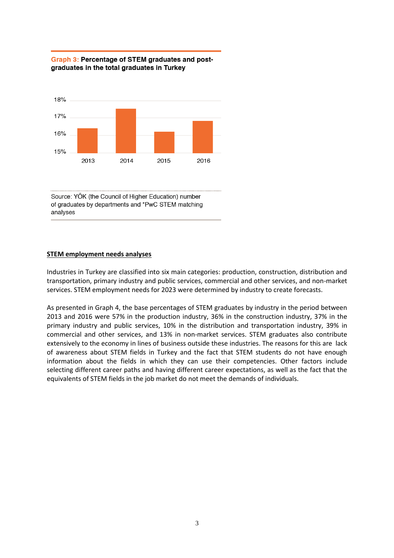



Source: YÖK (the Council of Higher Education) number of graduates by departments and \*PwC STEM matching analyses

### **STEM employment needs analyses**

Industries in Turkey are classified into six main categories: production, construction, distribution and transportation, primary industry and public services, commercial and other services, and non-market services. STEM employment needs for 2023 were determined by industry to create forecasts.

As presented in Graph 4, the base percentages of STEM graduates by industry in the period between 2013 and 2016 were 57% in the production industry, 36% in the construction industry, 37% in the primary industry and public services, 10% in the distribution and transportation industry, 39% in commercial and other services, and 13% in non-market services. STEM graduates also contribute extensively to the economy in lines of business outside these industries. The reasons for this are lack of awareness about STEM fields in Turkey and the fact that STEM students do not have enough information about the fields in which they can use their competencies. Other factors include selecting different career paths and having different career expectations, as well as the fact that the equivalents of STEM fields in the job market do not meet the demands of individuals.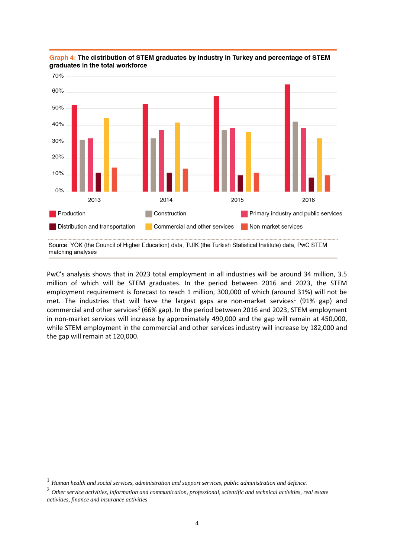

Graph 4: The distribution of STEM graduates by industry in Turkey and percentage of STEM graduates in the total workforce

PwC's analysis shows that in 2023 total employment in all industries will be around 34 million, 3.5 million of which will be STEM graduates. In the period between 2016 and 2023, the STEM employment requirement is forecast to reach 1 million, 300,000 of which (around 31%) will not be met. The industries that will have the largest gaps are non-market services<sup>1</sup> (91% gap) and commercial and other services<sup>2</sup> (66% gap). In the period between 2016 and 2023, STEM employment in non-market services will increase by approximately 490,000 and the gap will remain at 450,000, while STEM employment in the commercial and other services industry will increase by 182,000 and the gap will remain at 120,000.

 $\overline{a}$ 

Source: YÖK (the Council of Higher Education) data, TUİK (the Turkish Statistical Institute) data, PwC STEM matching analyses

<sup>1</sup> *Human health and social services, administration and support services, public administration and defence.*

<sup>2</sup> *Other service activities, information and communication, professional, scientific and technical activities, real estate activities, finance and insurance activities*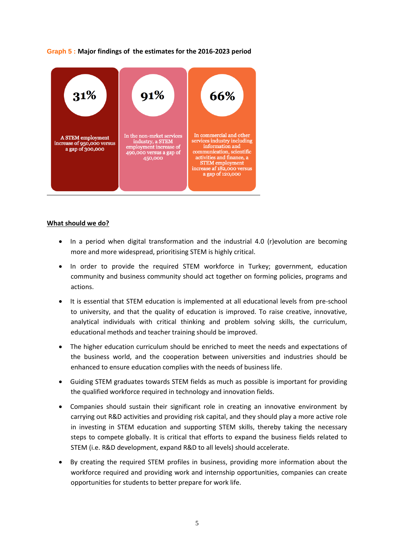# **Graph 5 : Major findings of the estimates for the 2016-2023 period**



### **What should we do?**

- In a period when digital transformation and the industrial 4.0 (r)evolution are becoming more and more widespread, prioritising STEM is highly critical.
- In order to provide the required STEM workforce in Turkey; government, education community and business community should act together on forming policies, programs and actions.
- It is essential that STEM education is implemented at all educational levels from pre-school to university, and that the quality of education is improved. To raise creative, innovative, analytical individuals with critical thinking and problem solving skills, the curriculum, educational methods and teacher training should be improved.
- The higher education curriculum should be enriched to meet the needs and expectations of the business world, and the cooperation between universities and industries should be enhanced to ensure education complies with the needs of business life.
- Guiding STEM graduates towards STEM fields as much as possible is important for providing the qualified workforce required in technology and innovation fields.
- Companies should sustain their significant role in creating an innovative environment by carrying out R&D activities and providing risk capital, and they should play a more active role in investing in STEM education and supporting STEM skills, thereby taking the necessary steps to compete globally. It is critical that efforts to expand the business fields related to STEM (i.e. R&D development, expand R&D to all levels) should accelerate.
- By creating the required STEM profiles in business, providing more information about the workforce required and providing work and internship opportunities, companies can create opportunities for students to better prepare for work life.